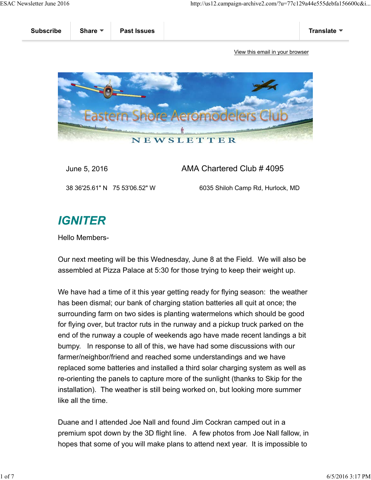

## June 5, 2016 AMA Chartered Club # 4095

38 36'25.61" N 75 53'06.52" W 6035 Shiloh Camp Rd, Hurlock, MD

## **IGNITER**

Hello Members-

Our next meeting will be this Wednesday, June 8 at the Field. We will also be assembled at Pizza Palace at 5:30 for those trying to keep their weight up.

We have had a time of it this year getting ready for flying season: the weather has been dismal; our bank of charging station batteries all quit at once; the surrounding farm on two sides is planting watermelons which should be good for flying over, but tractor ruts in the runway and a pickup truck parked on the end of the runway a couple of weekends ago have made recent landings a bit bumpy. In response to all of this, we have had some discussions with our farmer/neighbor/friend and reached some understandings and we have replaced some batteries and installed a third solar charging system as well as re-orienting the panels to capture more of the sunlight (thanks to Skip for the installation). The weather is still being worked on, but looking more summer like all the time.

Duane and I attended Joe Nall and found Jim Cockran camped out in a premium spot down by the 3D flight line. A few photos from Joe Nall fallow, in hopes that some of you will make plans to attend next year. It is impossible to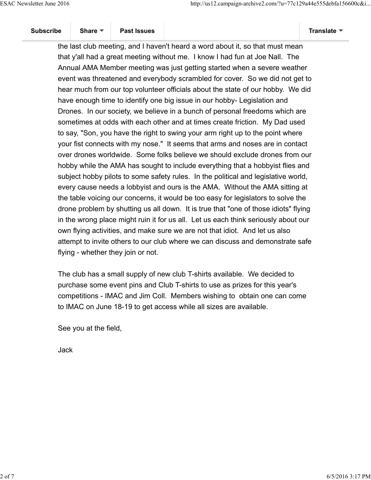the last club meeting, and I haven't heard a word about it, so that must mean that y'all had a great meeting without me. I know I had fun at Joe Nall. The Annual AMA Member meeting was just getting started when a severe weather event was threatened and everybody scrambled for cover. So we did not get to hear much from our top volunteer officials about the state of our hobby. We did have enough time to identify one big issue in our hobby- Legislation and Drones. In our society, we believe in a bunch of personal freedoms which are sometimes at odds with each other and at times create friction. My Dad used to say, "Son, you have the right to swing your arm right up to the point where your fist connects with my nose." It seems that arms and noses are in contact over drones worldwide. Some folks believe we should exclude drones from our hobby while the AMA has sought to include everything that a hobbyist flies and subject hobby pilots to some safety rules. In the political and legislative world, every cause needs a lobbyist and ours is the AMA. Without the AMA sitting at the table voicing our concerns, it would be too easy for legislators to solve the drone problem by shutting us all down. It is true that "one of those idiots" flying in the wrong place might ruin it for us all. Let us each think seriously about our own flying activities, and make sure we are not that idiot. And let us also attempt to invite others to our club where we can discuss and demonstrate safe flying - whether they join or not.

The club has a small supply of new club T-shirts available. We decided to purchase some event pins and Club T-shirts to use as prizes for this year's competitions - IMAC and Jim Coll. Members wishing to obtain one can come to IMAC on June 18-19 to get access while all sizes are available.

See you at the field,

Jack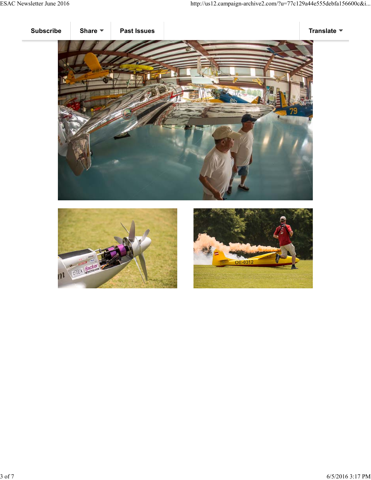



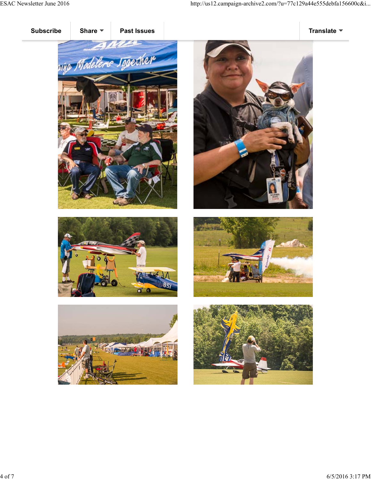









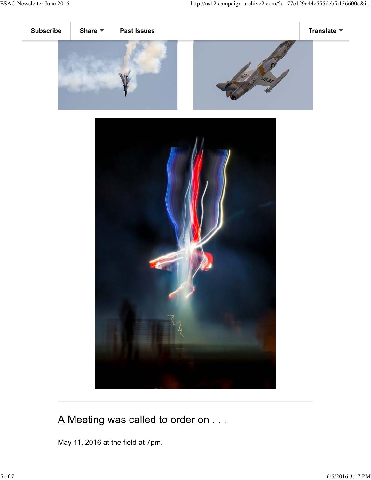





A Meeting was called to order on . . .

May 11, 2016 at the field at 7pm.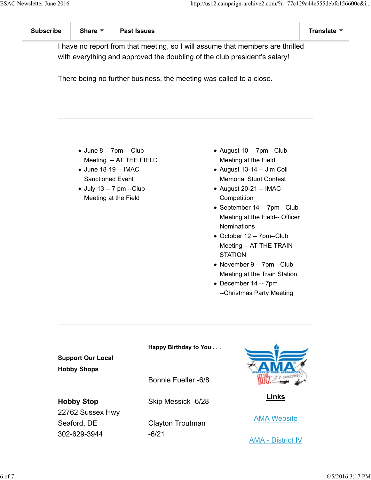I have no report from that meeting, so I will assume that members are thrilled with everything and approved the doubling of the club president's salary!

There being no further business, the meeting was called to a close.

- June 8 -- 7pm -- Club Meeting -- AT THE FIELD
- June 18-19 -- IMAC Sanctioned Event
- July 13 -- 7 pm --Club Meeting at the Field
- August 10 -- 7pm --Club Meeting at the Field
- August 13-14 -- Jim Coll Memorial Stunt Contest
- August 20-21 -- IMAC **Competition**
- September 14 -- 7pm --Club Meeting at the Field-- Officer Nominations
- October 12 -- 7pm--Club Meeting -- AT THE TRAIN **STATION**
- November 9 -- 7pm --Club Meeting at the Train Station
- December 14 -- 7pm --Christmas Party Meeting

| <b>Support Our Local</b><br><b>Hobby Shops</b> | Happy Birthday to You      |                          |
|------------------------------------------------|----------------------------|--------------------------|
|                                                | <b>Bonnie Fueller -6/8</b> |                          |
| <b>Hobby Stop</b>                              | Skip Messick -6/28         | Links                    |
| 22762 Sussex Hwy<br>Seaford, DE                | <b>Clayton Troutman</b>    | <b>AMA Website</b>       |
| 302-629-3944                                   | $-6/21$                    | <b>AMA - District IV</b> |